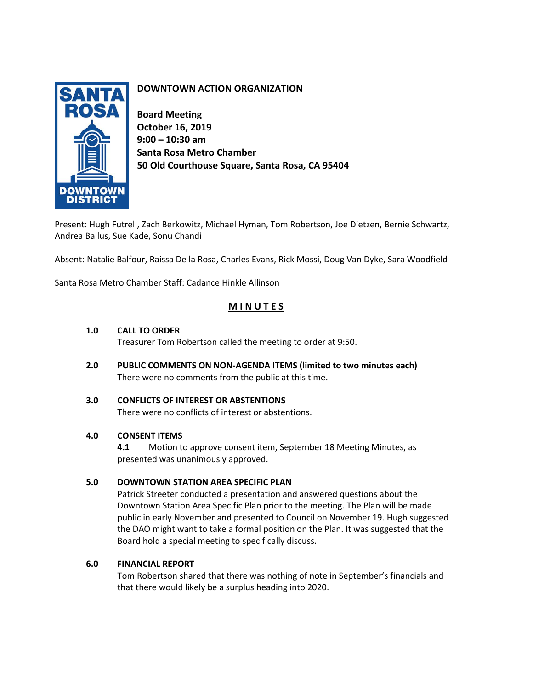

# **DOWNTOWN ACTION ORGANIZATION**

**Board Meeting October 16, 2019 9:00 – 10:30 am Santa Rosa Metro Chamber 50 Old Courthouse Square, Santa Rosa, CA 95404**

Present: Hugh Futrell, Zach Berkowitz, Michael Hyman, Tom Robertson, Joe Dietzen, Bernie Schwartz, Andrea Ballus, Sue Kade, Sonu Chandi

Absent: Natalie Balfour, Raissa De la Rosa, Charles Evans, Rick Mossi, Doug Van Dyke, Sara Woodfield

Santa Rosa Metro Chamber Staff: Cadance Hinkle Allinson

# **M I N U T E S**

# **1.0 CALL TO ORDER**

Treasurer Tom Robertson called the meeting to order at 9:50.

- **2.0 PUBLIC COMMENTS ON NON-AGENDA ITEMS (limited to two minutes each)** There were no comments from the public at this time.
- **3.0 CONFLICTS OF INTEREST OR ABSTENTIONS**  There were no conflicts of interest or abstentions.

# **4.0 CONSENT ITEMS**

**4.1** Motion to approve consent item, September 18 Meeting Minutes, as presented was unanimously approved.

# **5.0 DOWNTOWN STATION AREA SPECIFIC PLAN**

Patrick Streeter conducted a presentation and answered questions about the Downtown Station Area Specific Plan prior to the meeting. The Plan will be made public in early November and presented to Council on November 19. Hugh suggested the DAO might want to take a formal position on the Plan. It was suggested that the Board hold a special meeting to specifically discuss.

# **6.0 FINANCIAL REPORT**

Tom Robertson shared that there was nothing of note in September's financials and that there would likely be a surplus heading into 2020.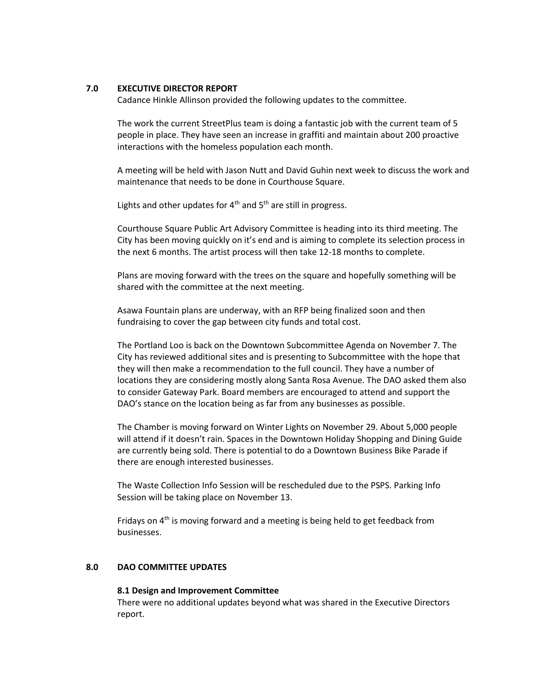#### **7.0 EXECUTIVE DIRECTOR REPORT**

Cadance Hinkle Allinson provided the following updates to the committee.

The work the current StreetPlus team is doing a fantastic job with the current team of 5 people in place. They have seen an increase in graffiti and maintain about 200 proactive interactions with the homeless population each month.

A meeting will be held with Jason Nutt and David Guhin next week to discuss the work and maintenance that needs to be done in Courthouse Square.

Lights and other updates for  $4<sup>th</sup>$  and  $5<sup>th</sup>$  are still in progress.

Courthouse Square Public Art Advisory Committee is heading into its third meeting. The City has been moving quickly on it's end and is aiming to complete its selection process in the next 6 months. The artist process will then take 12-18 months to complete.

Plans are moving forward with the trees on the square and hopefully something will be shared with the committee at the next meeting.

Asawa Fountain plans are underway, with an RFP being finalized soon and then fundraising to cover the gap between city funds and total cost.

The Portland Loo is back on the Downtown Subcommittee Agenda on November 7. The City has reviewed additional sites and is presenting to Subcommittee with the hope that they will then make a recommendation to the full council. They have a number of locations they are considering mostly along Santa Rosa Avenue. The DAO asked them also to consider Gateway Park. Board members are encouraged to attend and support the DAO's stance on the location being as far from any businesses as possible.

The Chamber is moving forward on Winter Lights on November 29. About 5,000 people will attend if it doesn't rain. Spaces in the Downtown Holiday Shopping and Dining Guide are currently being sold. There is potential to do a Downtown Business Bike Parade if there are enough interested businesses.

The Waste Collection Info Session will be rescheduled due to the PSPS. Parking Info Session will be taking place on November 13.

Fridays on  $4<sup>th</sup>$  is moving forward and a meeting is being held to get feedback from businesses.

# **8.0 DAO COMMITTEE UPDATES**

#### **8.1 Design and Improvement Committee**

There were no additional updates beyond what was shared in the Executive Directors report.